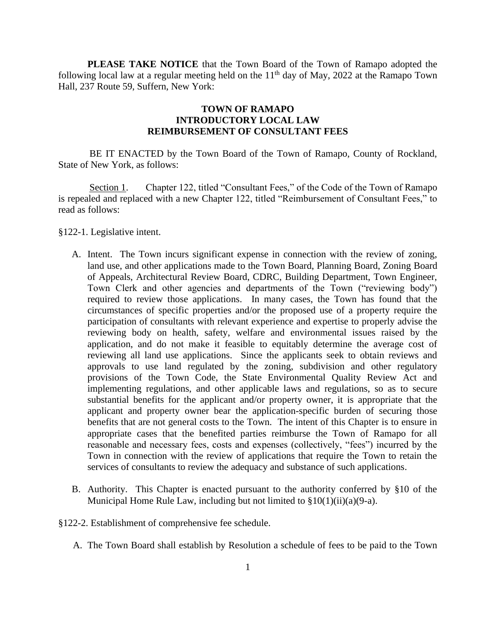**PLEASE TAKE NOTICE** that the Town Board of the Town of Ramapo adopted the following local law at a regular meeting held on the  $11<sup>th</sup>$  day of May, 2022 at the Ramapo Town Hall, 237 Route 59, Suffern, New York:

## **TOWN OF RAMAPO INTRODUCTORY LOCAL LAW REIMBURSEMENT OF CONSULTANT FEES**

BE IT ENACTED by the Town Board of the Town of Ramapo, County of Rockland, State of New York, as follows:

Section 1. Chapter 122, titled "Consultant Fees," of the Code of the Town of Ramapo is repealed and replaced with a new Chapter 122, titled "Reimbursement of Consultant Fees," to read as follows:

- §122-1. Legislative intent.
	- A. Intent. The Town incurs significant expense in connection with the review of zoning, land use, and other applications made to the Town Board, Planning Board, Zoning Board of Appeals, Architectural Review Board, CDRC, Building Department, Town Engineer, Town Clerk and other agencies and departments of the Town ("reviewing body") required to review those applications. In many cases, the Town has found that the circumstances of specific properties and/or the proposed use of a property require the participation of consultants with relevant experience and expertise to properly advise the reviewing body on health, safety, welfare and environmental issues raised by the application, and do not make it feasible to equitably determine the average cost of reviewing all land use applications. Since the applicants seek to obtain reviews and approvals to use land regulated by the zoning, subdivision and other regulatory provisions of the Town Code, the State Environmental Quality Review Act and implementing regulations, and other applicable laws and regulations, so as to secure substantial benefits for the applicant and/or property owner, it is appropriate that the applicant and property owner bear the application-specific burden of securing those benefits that are not general costs to the Town. The intent of this Chapter is to ensure in appropriate cases that the benefited parties reimburse the Town of Ramapo for all reasonable and necessary fees, costs and expenses (collectively, "fees") incurred by the Town in connection with the review of applications that require the Town to retain the services of consultants to review the adequacy and substance of such applications.
	- B. Authority. This Chapter is enacted pursuant to the authority conferred by §10 of the Municipal Home Rule Law, including but not limited to  $$10(1)(ii)(a)(9-a)$ .
- §122-2. Establishment of comprehensive fee schedule.
	- A. The Town Board shall establish by Resolution a schedule of fees to be paid to the Town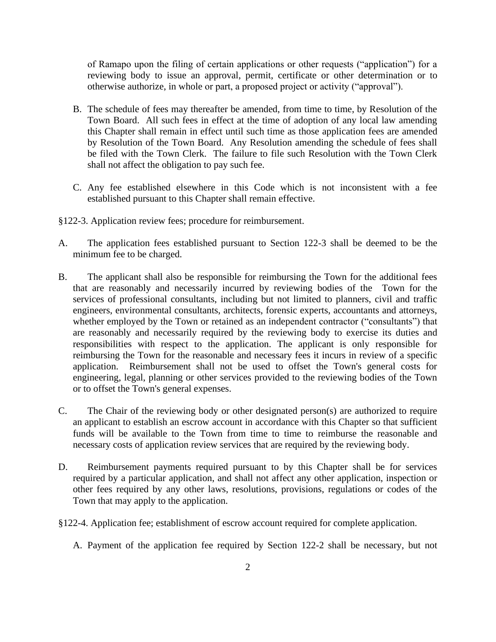of Ramapo upon the filing of certain applications or other requests ("application") for a reviewing body to issue an approval, permit, certificate or other determination or to otherwise authorize, in whole or part, a proposed project or activity ("approval").

- B. The schedule of fees may thereafter be amended, from time to time, by Resolution of the Town Board. All such fees in effect at the time of adoption of any local law amending this Chapter shall remain in effect until such time as those application fees are amended by Resolution of the Town Board. Any Resolution amending the schedule of fees shall be filed with the Town Clerk. The failure to file such Resolution with the Town Clerk shall not affect the obligation to pay such fee.
- C. Any fee established elsewhere in this Code which is not inconsistent with a fee established pursuant to this Chapter shall remain effective.
- §122-3. Application review fees; procedure for reimbursement.
- A. The application fees established pursuant to Section 122-3 shall be deemed to be the minimum fee to be charged.
- B. The applicant shall also be responsible for reimbursing the Town for the additional fees that are reasonably and necessarily incurred by reviewing bodies of the Town for the services of professional consultants, including but not limited to planners, civil and traffic engineers, environmental consultants, architects, forensic experts, accountants and attorneys, whether employed by the Town or retained as an independent contractor ("consultants") that are reasonably and necessarily required by the reviewing body to exercise its duties and responsibilities with respect to the application. The applicant is only responsible for reimbursing the Town for the reasonable and necessary fees it incurs in review of a specific application. Reimbursement shall not be used to offset the Town's general costs for engineering, legal, planning or other services provided to the reviewing bodies of the Town or to offset the Town's general expenses.
- C. The Chair of the reviewing body or other designated person(s) are authorized to require an applicant to establish an escrow account in accordance with this Chapter so that sufficient funds will be available to the Town from time to time to reimburse the reasonable and necessary costs of application review services that are required by the reviewing body.
- D. Reimbursement payments required pursuant to by this Chapter shall be for services required by a particular application, and shall not affect any other application, inspection or other fees required by any other laws, resolutions, provisions, regulations or codes of the Town that may apply to the application.
- §122-4. Application fee; establishment of escrow account required for complete application.
	- A. Payment of the application fee required by Section 122-2 shall be necessary, but not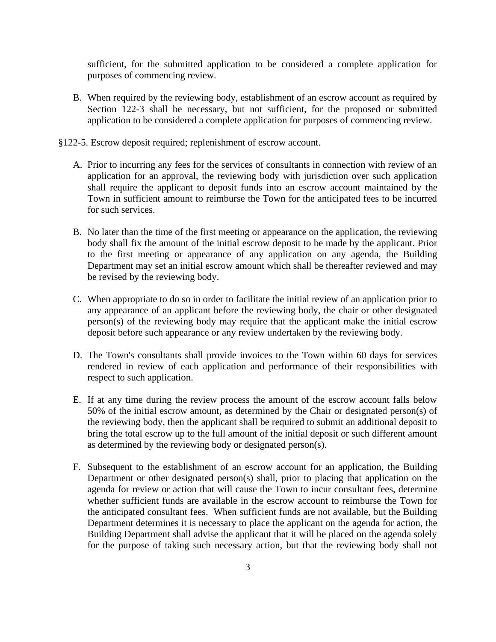sufficient, for the submitted application to be considered a complete application for purposes of commencing review.

- B. When required by the reviewing body, establishment of an escrow account as required by Section 122-3 shall be necessary, but not sufficient, for the proposed or submitted application to be considered a complete application for purposes of commencing review.
- §122-5. Escrow deposit required; replenishment of escrow account.
	- A. Prior to incurring any fees for the services of consultants in connection with review of an application for an approval, the reviewing body with jurisdiction over such application shall require the applicant to deposit funds into an escrow account maintained by the Town in sufficient amount to reimburse the Town for the anticipated fees to be incurred for such services.
	- B. No later than the time of the first meeting or appearance on the application, the reviewing body shall fix the amount of the initial escrow deposit to be made by the applicant. Prior to the first meeting or appearance of any application on any agenda, the Building Department may set an initial escrow amount which shall be thereafter reviewed and may be revised by the reviewing body.
	- C. When appropriate to do so in order to facilitate the initial review of an application prior to any appearance of an applicant before the reviewing body, the chair or other designated person(s) of the reviewing body may require that the applicant make the initial escrow deposit before such appearance or any review undertaken by the reviewing body.
	- D. The Town's consultants shall provide invoices to the Town within 60 days for services rendered in review of each application and performance of their responsibilities with respect to such application.
	- E. If at any time during the review process the amount of the escrow account falls below 50% of the initial escrow amount, as determined by the Chair or designated person(s) of the reviewing body, then the applicant shall be required to submit an additional deposit to bring the total escrow up to the full amount of the initial deposit or such different amount as determined by the reviewing body or designated person(s).
	- F. Subsequent to the establishment of an escrow account for an application, the Building Department or other designated person(s) shall, prior to placing that application on the agenda for review or action that will cause the Town to incur consultant fees, determine whether sufficient funds are available in the escrow account to reimburse the Town for the anticipated consultant fees. When sufficient funds are not available, but the Building Department determines it is necessary to place the applicant on the agenda for action, the Building Department shall advise the applicant that it will be placed on the agenda solely for the purpose of taking such necessary action, but that the reviewing body shall not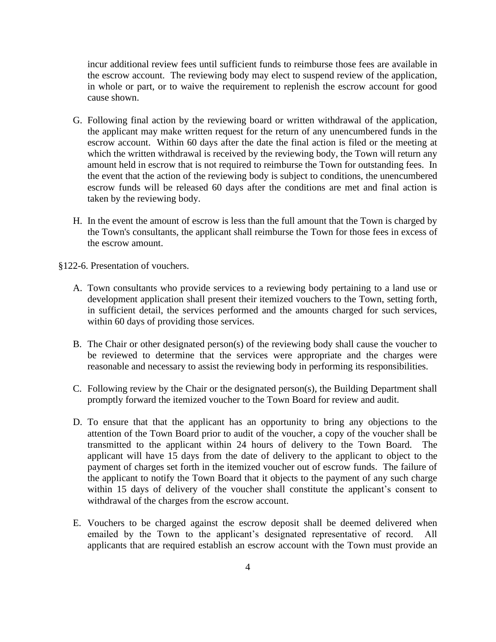incur additional review fees until sufficient funds to reimburse those fees are available in the escrow account. The reviewing body may elect to suspend review of the application, in whole or part, or to waive the requirement to replenish the escrow account for good cause shown.

- G. Following final action by the reviewing board or written withdrawal of the application, the applicant may make written request for the return of any unencumbered funds in the escrow account. Within 60 days after the date the final action is filed or the meeting at which the written withdrawal is received by the reviewing body, the Town will return any amount held in escrow that is not required to reimburse the Town for outstanding fees. In the event that the action of the reviewing body is subject to conditions, the unencumbered escrow funds will be released 60 days after the conditions are met and final action is taken by the reviewing body.
- H. In the event the amount of escrow is less than the full amount that the Town is charged by the Town's consultants, the applicant shall reimburse the Town for those fees in excess of the escrow amount.

§122-6. Presentation of vouchers.

- A. Town consultants who provide services to a reviewing body pertaining to a land use or development application shall present their itemized vouchers to the Town, setting forth, in sufficient detail, the services performed and the amounts charged for such services, within 60 days of providing those services.
- B. The Chair or other designated person(s) of the reviewing body shall cause the voucher to be reviewed to determine that the services were appropriate and the charges were reasonable and necessary to assist the reviewing body in performing its responsibilities.
- C. Following review by the Chair or the designated person(s), the Building Department shall promptly forward the itemized voucher to the Town Board for review and audit.
- D. To ensure that that the applicant has an opportunity to bring any objections to the attention of the Town Board prior to audit of the voucher, a copy of the voucher shall be transmitted to the applicant within 24 hours of delivery to the Town Board. The applicant will have 15 days from the date of delivery to the applicant to object to the payment of charges set forth in the itemized voucher out of escrow funds. The failure of the applicant to notify the Town Board that it objects to the payment of any such charge within 15 days of delivery of the voucher shall constitute the applicant's consent to withdrawal of the charges from the escrow account.
- E. Vouchers to be charged against the escrow deposit shall be deemed delivered when emailed by the Town to the applicant's designated representative of record. All applicants that are required establish an escrow account with the Town must provide an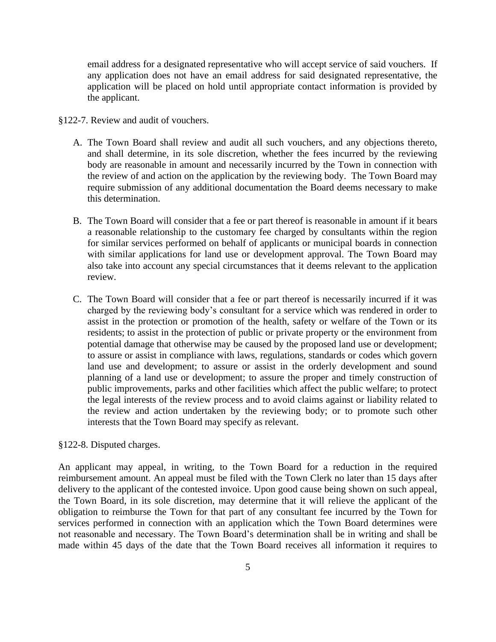email address for a designated representative who will accept service of said vouchers. If any application does not have an email address for said designated representative, the application will be placed on hold until appropriate contact information is provided by the applicant.

- §122-7. Review and audit of vouchers.
	- A. The Town Board shall review and audit all such vouchers, and any objections thereto, and shall determine, in its sole discretion, whether the fees incurred by the reviewing body are reasonable in amount and necessarily incurred by the Town in connection with the review of and action on the application by the reviewing body. The Town Board may require submission of any additional documentation the Board deems necessary to make this determination.
	- B. The Town Board will consider that a fee or part thereof is reasonable in amount if it bears a reasonable relationship to the customary fee charged by consultants within the region for similar services performed on behalf of applicants or municipal boards in connection with similar applications for land use or development approval. The Town Board may also take into account any special circumstances that it deems relevant to the application review.
	- C. The Town Board will consider that a fee or part thereof is necessarily incurred if it was charged by the reviewing body's consultant for a service which was rendered in order to assist in the protection or promotion of the health, safety or welfare of the Town or its residents; to assist in the protection of public or private property or the environment from potential damage that otherwise may be caused by the proposed land use or development; to assure or assist in compliance with laws, regulations, standards or codes which govern land use and development; to assure or assist in the orderly development and sound planning of a land use or development; to assure the proper and timely construction of public improvements, parks and other facilities which affect the public welfare; to protect the legal interests of the review process and to avoid claims against or liability related to the review and action undertaken by the reviewing body; or to promote such other interests that the Town Board may specify as relevant.

## §122-8. Disputed charges.

An applicant may appeal, in writing, to the Town Board for a reduction in the required reimbursement amount. An appeal must be filed with the Town Clerk no later than 15 days after delivery to the applicant of the contested invoice. Upon good cause being shown on such appeal, the Town Board, in its sole discretion, may determine that it will relieve the applicant of the obligation to reimburse the Town for that part of any consultant fee incurred by the Town for services performed in connection with an application which the Town Board determines were not reasonable and necessary. The Town Board's determination shall be in writing and shall be made within 45 days of the date that the Town Board receives all information it requires to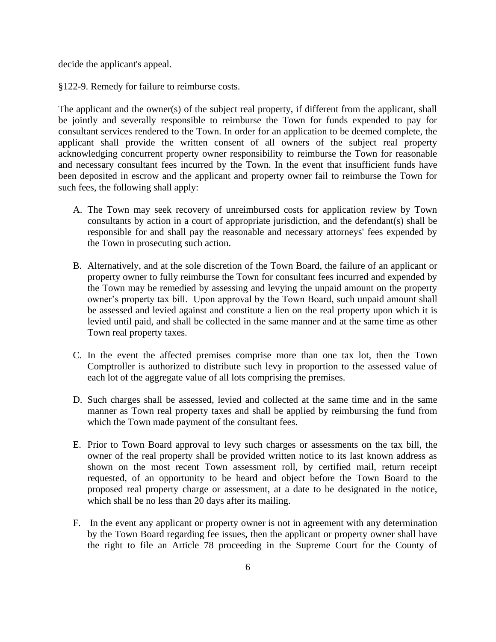decide the applicant's appeal.

§122-9. Remedy for failure to reimburse costs.

The applicant and the owner(s) of the subject real property, if different from the applicant, shall be jointly and severally responsible to reimburse the Town for funds expended to pay for consultant services rendered to the Town. In order for an application to be deemed complete, the applicant shall provide the written consent of all owners of the subject real property acknowledging concurrent property owner responsibility to reimburse the Town for reasonable and necessary consultant fees incurred by the Town. In the event that insufficient funds have been deposited in escrow and the applicant and property owner fail to reimburse the Town for such fees, the following shall apply:

- A. The Town may seek recovery of unreimbursed costs for application review by Town consultants by action in a court of appropriate jurisdiction, and the defendant(s) shall be responsible for and shall pay the reasonable and necessary attorneys' fees expended by the Town in prosecuting such action.
- B. Alternatively, and at the sole discretion of the Town Board, the failure of an applicant or property owner to fully reimburse the Town for consultant fees incurred and expended by the Town may be remedied by assessing and levying the unpaid amount on the property owner's property tax bill. Upon approval by the Town Board, such unpaid amount shall be assessed and levied against and constitute a lien on the real property upon which it is levied until paid, and shall be collected in the same manner and at the same time as other Town real property taxes.
- C. In the event the affected premises comprise more than one tax lot, then the Town Comptroller is authorized to distribute such levy in proportion to the assessed value of each lot of the aggregate value of all lots comprising the premises.
- D. Such charges shall be assessed, levied and collected at the same time and in the same manner as Town real property taxes and shall be applied by reimbursing the fund from which the Town made payment of the consultant fees.
- E. Prior to Town Board approval to levy such charges or assessments on the tax bill, the owner of the real property shall be provided written notice to its last known address as shown on the most recent Town assessment roll, by certified mail, return receipt requested, of an opportunity to be heard and object before the Town Board to the proposed real property charge or assessment, at a date to be designated in the notice, which shall be no less than 20 days after its mailing.
- F. In the event any applicant or property owner is not in agreement with any determination by the Town Board regarding fee issues, then the applicant or property owner shall have the right to file an Article 78 proceeding in the Supreme Court for the County of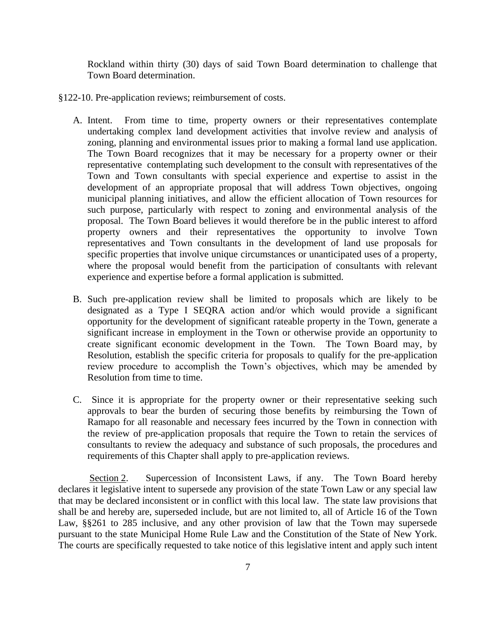Rockland within thirty (30) days of said Town Board determination to challenge that Town Board determination.

- §122-10. Pre-application reviews; reimbursement of costs.
	- A. Intent. From time to time, property owners or their representatives contemplate undertaking complex land development activities that involve review and analysis of zoning, planning and environmental issues prior to making a formal land use application. The Town Board recognizes that it may be necessary for a property owner or their representative contemplating such development to the consult with representatives of the Town and Town consultants with special experience and expertise to assist in the development of an appropriate proposal that will address Town objectives, ongoing municipal planning initiatives, and allow the efficient allocation of Town resources for such purpose, particularly with respect to zoning and environmental analysis of the proposal. The Town Board believes it would therefore be in the public interest to afford property owners and their representatives the opportunity to involve Town representatives and Town consultants in the development of land use proposals for specific properties that involve unique circumstances or unanticipated uses of a property, where the proposal would benefit from the participation of consultants with relevant experience and expertise before a formal application is submitted.
	- B. Such pre-application review shall be limited to proposals which are likely to be designated as a Type I SEQRA action and/or which would provide a significant opportunity for the development of significant rateable property in the Town, generate a significant increase in employment in the Town or otherwise provide an opportunity to create significant economic development in the Town. The Town Board may, by Resolution, establish the specific criteria for proposals to qualify for the pre-application review procedure to accomplish the Town's objectives, which may be amended by Resolution from time to time.
	- C. Since it is appropriate for the property owner or their representative seeking such approvals to bear the burden of securing those benefits by reimbursing the Town of Ramapo for all reasonable and necessary fees incurred by the Town in connection with the review of pre-application proposals that require the Town to retain the services of consultants to review the adequacy and substance of such proposals, the procedures and requirements of this Chapter shall apply to pre-application reviews.

Section 2. Supercession of Inconsistent Laws, if any. The Town Board hereby declares it legislative intent to supersede any provision of the state Town Law or any special law that may be declared inconsistent or in conflict with this local law. The state law provisions that shall be and hereby are, superseded include, but are not limited to, all of Article 16 of the Town Law, §§261 to 285 inclusive, and any other provision of law that the Town may supersede pursuant to the state Municipal Home Rule Law and the Constitution of the State of New York. The courts are specifically requested to take notice of this legislative intent and apply such intent